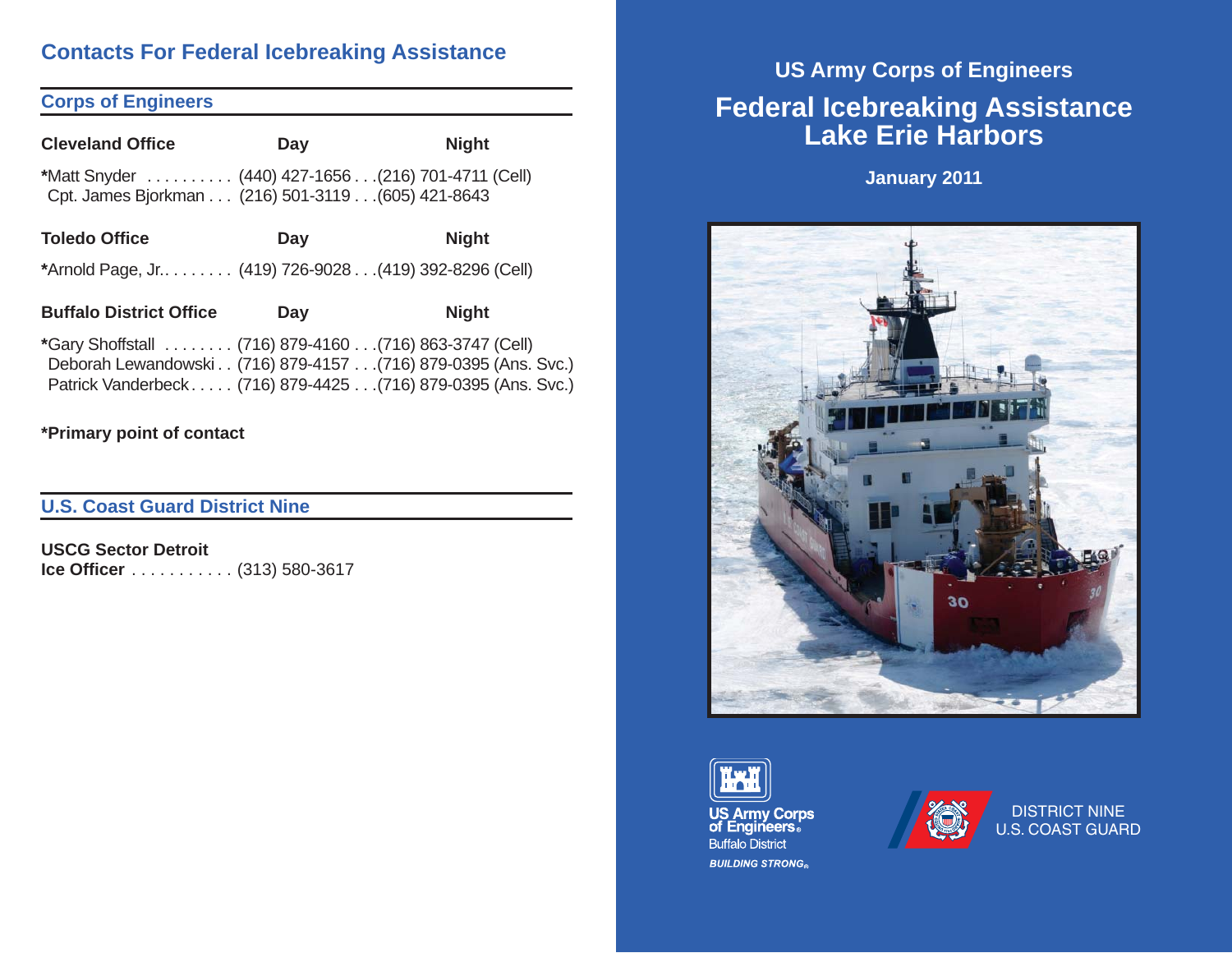# **Contacts For Federal Icebreaking Assistance**

# **Corps of Engineers**

| <b>Cleveland Office</b>                                                                                                                                                                  | Day | <b>Night</b> |  |
|------------------------------------------------------------------------------------------------------------------------------------------------------------------------------------------|-----|--------------|--|
| *Matt Snyder  (440) 427-1656(216) 701-4711 (Cell)<br>Cpt. James Bjorkman (216) 501-3119 (605) 421-8643                                                                                   |     |              |  |
| <b>Toledo Office</b>                                                                                                                                                                     | Day | <b>Night</b> |  |
| *Arnold Page, Jr (419) 726-9028(419) 392-8296 (Cell)                                                                                                                                     |     |              |  |
| <b>Buffalo District Office</b>                                                                                                                                                           | Day | <b>Night</b> |  |
| *Gary Shoffstall  (716) 879-4160  (716) 863-3747 (Cell)<br>Deborah Lewandowski (716) 879-4157 (716) 879-0395 (Ans. Svc.)<br>Patrick Vanderbeck (716) 879-4425 (716) 879-0395 (Ans. Svc.) |     |              |  |
| *Primary point of contact                                                                                                                                                                |     |              |  |

# **U.S. Coast Guard District Nine**

**USCG Sector Detroit Ice Officer** . . . . . . . . . . . (313) 580-3617

# **US Army Corps of Engineers Federal Icebreaking Assistance Lake Erie Harbors**

**January 2011**







DISTRICT NINE U.S. COAST GUARD